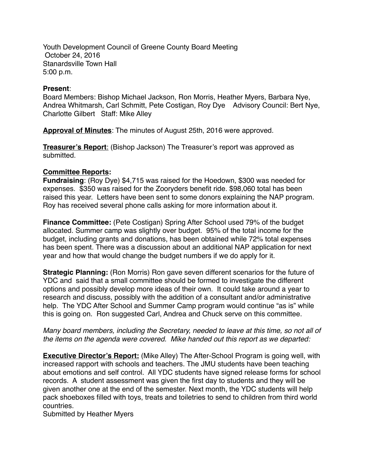Youth Development Council of Greene County Board Meeting October 24, 2016 Stanardsville Town Hall 5:00 p.m.

## **Present**:

Board Members: Bishop Michael Jackson, Ron Morris, Heather Myers, Barbara Nye, Andrea Whitmarsh, Carl Schmitt, Pete Costigan, Roy Dye Advisory Council: Bert Nye, Charlotte Gilbert Staff: Mike Alley

**Approval of Minutes**: The minutes of August 25th, 2016 were approved.

**Treasurer's Report**: (Bishop Jackson) The Treasurer's report was approved as submitted.

## **Committee Reports:**

**Fundraising**: (Roy Dye) \$4,715 was raised for the Hoedown, \$300 was needed for expenses. \$350 was raised for the Zooryders benefit ride. \$98,060 total has been raised this year. Letters have been sent to some donors explaining the NAP program. Roy has received several phone calls asking for more information about it.

**Finance Committee:** (Pete Costigan) Spring After School used 79% of the budget allocated. Summer camp was slightly over budget. 95% of the total income for the budget, including grants and donations, has been obtained while 72% total expenses has been spent. There was a discussion about an additional NAP application for next year and how that would change the budget numbers if we do apply for it.

**Strategic Planning:** (Ron Morris) Ron gave seven different scenarios for the future of YDC and said that a small committee should be formed to investigate the different options and possibly develop more ideas of their own. It could take around a year to research and discuss, possibly with the addition of a consultant and/or administrative help. The YDC After School and Summer Camp program would continue "as is" while this is going on. Ron suggested Carl, Andrea and Chuck serve on this committee.

*Many board members, including the Secretary, needed to leave at this time, so not all of the items on the agenda were covered. Mike handed out this report as we departed:*

**Executive Director's Report:** (Mike Alley) The After-School Program is going well, with increased rapport with schools and teachers. The JMU students have been teaching about emotions and self control. All YDC students have signed release forms for school records. A student assessment was given the first day to students and they will be given another one at the end of the semester. Next month, the YDC students will help pack shoeboxes filled with toys, treats and toiletries to send to children from third world countries.

Submitted by Heather Myers